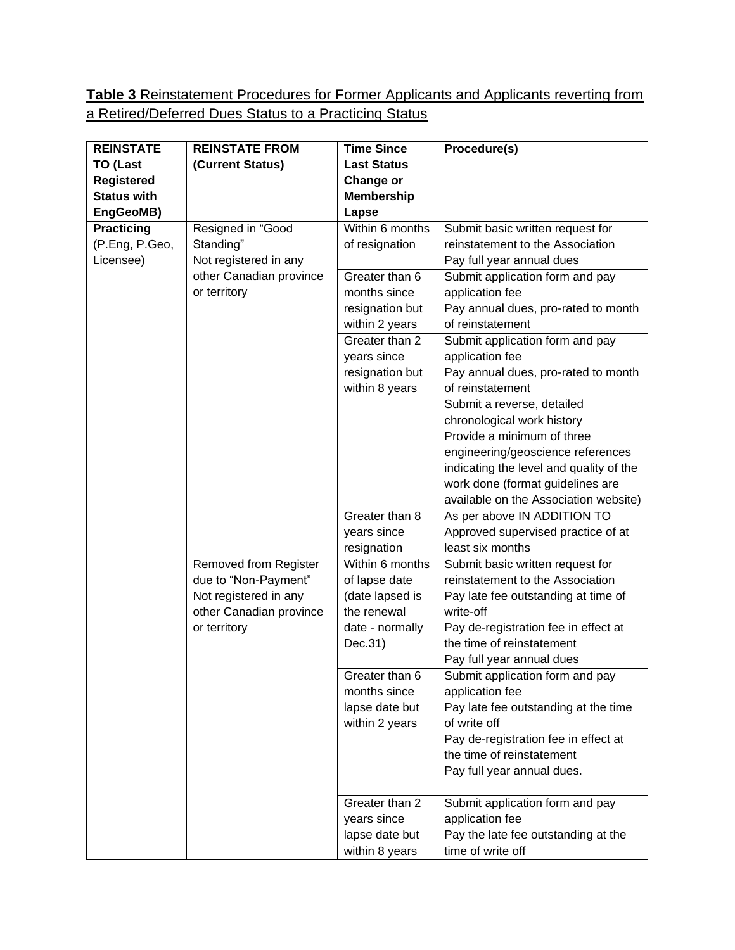## **Table 3** Reinstatement Procedures for Former Applicants and Applicants reverting from a Retired/Deferred Dues Status to a Practicing Status

| <b>REINSTATE</b>   | <b>REINSTATE FROM</b>   | <b>Time Since</b>  | Procedure(s)                            |
|--------------------|-------------------------|--------------------|-----------------------------------------|
| <b>TO (Last</b>    | (Current Status)        | <b>Last Status</b> |                                         |
| <b>Registered</b>  |                         | Change or          |                                         |
| <b>Status with</b> |                         | <b>Membership</b>  |                                         |
| EngGeoMB)          |                         | Lapse              |                                         |
| <b>Practicing</b>  | Resigned in "Good       | Within 6 months    | Submit basic written request for        |
| (P.Eng, P.Geo,     | Standing"               | of resignation     | reinstatement to the Association        |
| Licensee)          | Not registered in any   |                    | Pay full year annual dues               |
|                    | other Canadian province | Greater than 6     | Submit application form and pay         |
|                    | or territory            | months since       | application fee                         |
|                    |                         | resignation but    | Pay annual dues, pro-rated to month     |
|                    |                         | within 2 years     | of reinstatement                        |
|                    |                         | Greater than 2     | Submit application form and pay         |
|                    |                         | years since        | application fee                         |
|                    |                         | resignation but    | Pay annual dues, pro-rated to month     |
|                    |                         | within 8 years     | of reinstatement                        |
|                    |                         |                    | Submit a reverse, detailed              |
|                    |                         |                    | chronological work history              |
|                    |                         |                    | Provide a minimum of three              |
|                    |                         |                    | engineering/geoscience references       |
|                    |                         |                    | indicating the level and quality of the |
|                    |                         |                    | work done (format guidelines are        |
|                    |                         |                    | available on the Association website)   |
|                    |                         | Greater than 8     | As per above IN ADDITION TO             |
|                    |                         | years since        | Approved supervised practice of at      |
|                    |                         | resignation        | least six months                        |
|                    | Removed from Register   | Within 6 months    | Submit basic written request for        |
|                    | due to "Non-Payment"    | of lapse date      | reinstatement to the Association        |
|                    | Not registered in any   | (date lapsed is    | Pay late fee outstanding at time of     |
|                    | other Canadian province | the renewal        | write-off                               |
|                    | or territory            | date - normally    | Pay de-registration fee in effect at    |
|                    |                         | Dec.31)            | the time of reinstatement               |
|                    |                         |                    | Pay full year annual dues               |
|                    |                         | Greater than 6     | Submit application form and pay         |
|                    |                         | months since       | application fee                         |
|                    |                         | lapse date but     | Pay late fee outstanding at the time    |
|                    |                         | within 2 years     | of write off                            |
|                    |                         |                    | Pay de-registration fee in effect at    |
|                    |                         |                    | the time of reinstatement               |
|                    |                         |                    | Pay full year annual dues.              |
|                    |                         | Greater than 2     | Submit application form and pay         |
|                    |                         | years since        | application fee                         |
|                    |                         | lapse date but     | Pay the late fee outstanding at the     |
|                    |                         | within 8 years     | time of write off                       |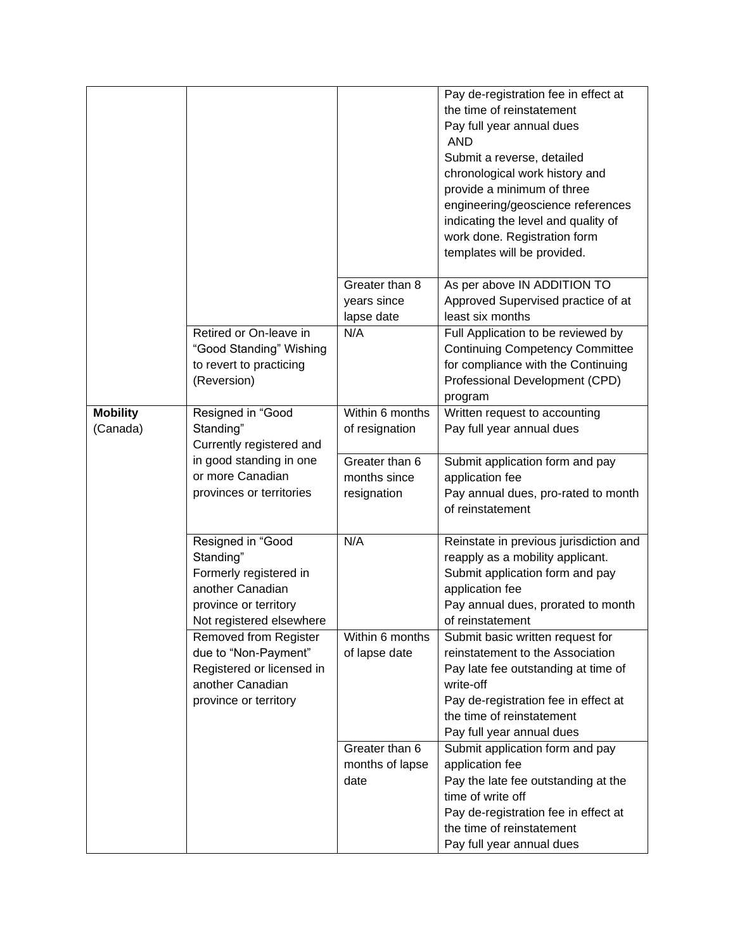|                             |                                                                                                                                   |                                   | Pay de-registration fee in effect at<br>the time of reinstatement<br>Pay full year annual dues<br><b>AND</b><br>Submit a reverse, detailed<br>chronological work history and<br>provide a minimum of three<br>engineering/geoscience references<br>indicating the level and quality of<br>work done. Registration form<br>templates will be provided. |
|-----------------------------|-----------------------------------------------------------------------------------------------------------------------------------|-----------------------------------|-------------------------------------------------------------------------------------------------------------------------------------------------------------------------------------------------------------------------------------------------------------------------------------------------------------------------------------------------------|
|                             |                                                                                                                                   | Greater than 8<br>years since     | As per above IN ADDITION TO<br>Approved Supervised practice of at                                                                                                                                                                                                                                                                                     |
|                             | Retired or On-leave in                                                                                                            | lapse date<br>N/A                 | least six months                                                                                                                                                                                                                                                                                                                                      |
|                             | "Good Standing" Wishing<br>to revert to practicing<br>(Reversion)                                                                 |                                   | Full Application to be reviewed by<br><b>Continuing Competency Committee</b><br>for compliance with the Continuing<br>Professional Development (CPD)<br>program                                                                                                                                                                                       |
| <b>Mobility</b><br>(Canada) | Resigned in "Good<br>Standing"                                                                                                    | Within 6 months<br>of resignation | Written request to accounting<br>Pay full year annual dues                                                                                                                                                                                                                                                                                            |
|                             | Currently registered and                                                                                                          |                                   |                                                                                                                                                                                                                                                                                                                                                       |
|                             | in good standing in one                                                                                                           | Greater than 6                    | Submit application form and pay                                                                                                                                                                                                                                                                                                                       |
|                             | or more Canadian                                                                                                                  | months since                      | application fee                                                                                                                                                                                                                                                                                                                                       |
|                             | provinces or territories                                                                                                          | resignation                       | Pay annual dues, pro-rated to month<br>of reinstatement                                                                                                                                                                                                                                                                                               |
|                             |                                                                                                                                   |                                   |                                                                                                                                                                                                                                                                                                                                                       |
|                             | Resigned in "Good<br>Standing"<br>Formerly registered in<br>another Canadian<br>province or territory<br>Not registered elsewhere | N/A                               | Reinstate in previous jurisdiction and<br>reapply as a mobility applicant.<br>Submit application form and pay<br>application fee<br>Pay annual dues, prorated to month<br>of reinstatement                                                                                                                                                            |
|                             | <b>Removed from Register</b><br>due to "Non-Payment"<br>Registered or licensed in<br>another Canadian<br>province or territory    | Within 6 months<br>of lapse date  | Submit basic written request for<br>reinstatement to the Association<br>Pay late fee outstanding at time of<br>write-off<br>Pay de-registration fee in effect at<br>the time of reinstatement<br>Pay full year annual dues                                                                                                                            |
|                             |                                                                                                                                   | Greater than 6                    | Submit application form and pay                                                                                                                                                                                                                                                                                                                       |
|                             |                                                                                                                                   | months of lapse                   | application fee                                                                                                                                                                                                                                                                                                                                       |
|                             |                                                                                                                                   | date                              | Pay the late fee outstanding at the                                                                                                                                                                                                                                                                                                                   |
|                             |                                                                                                                                   |                                   | time of write off                                                                                                                                                                                                                                                                                                                                     |
|                             |                                                                                                                                   |                                   | Pay de-registration fee in effect at                                                                                                                                                                                                                                                                                                                  |
|                             |                                                                                                                                   |                                   | the time of reinstatement                                                                                                                                                                                                                                                                                                                             |
|                             |                                                                                                                                   |                                   | Pay full year annual dues                                                                                                                                                                                                                                                                                                                             |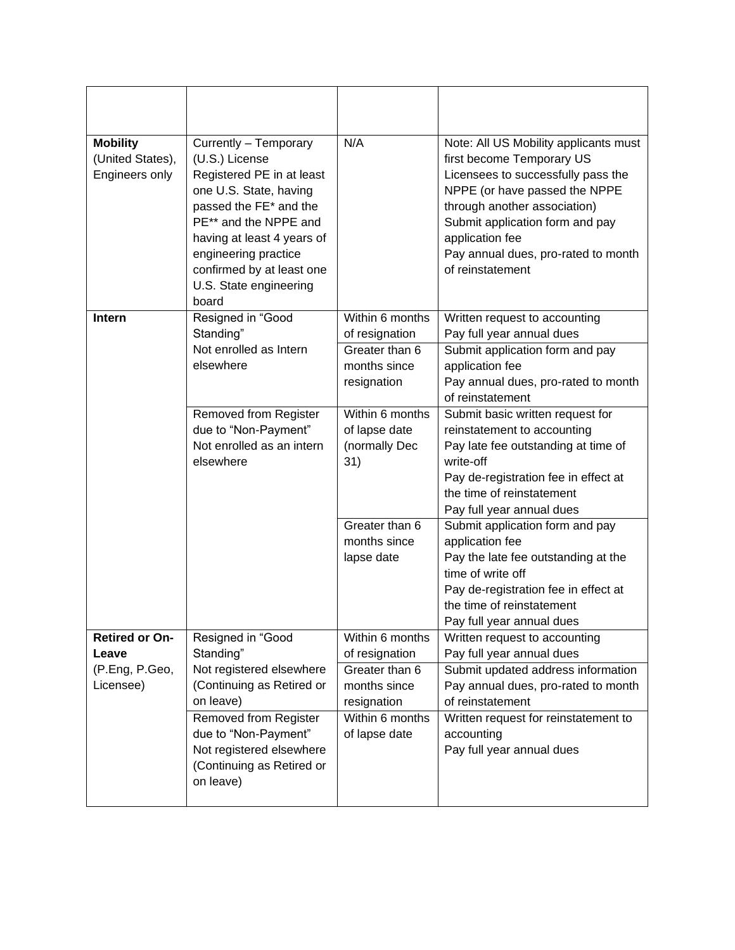| <b>Mobility</b><br>(United States),<br>Engineers only         | Currently - Temporary<br>(U.S.) License<br>Registered PE in at least<br>one U.S. State, having<br>passed the FE* and the<br>PE** and the NPPE and<br>having at least 4 years of<br>engineering practice<br>confirmed by at least one<br>U.S. State engineering<br>board | N/A                                                                                                                    | Note: All US Mobility applicants must<br>first become Temporary US<br>Licensees to successfully pass the<br>NPPE (or have passed the NPPE<br>through another association)<br>Submit application form and pay<br>application fee<br>Pay annual dues, pro-rated to month<br>of reinstatement |
|---------------------------------------------------------------|-------------------------------------------------------------------------------------------------------------------------------------------------------------------------------------------------------------------------------------------------------------------------|------------------------------------------------------------------------------------------------------------------------|--------------------------------------------------------------------------------------------------------------------------------------------------------------------------------------------------------------------------------------------------------------------------------------------|
| Intern                                                        | Resigned in "Good<br>Standing"<br>Not enrolled as Intern<br>elsewhere                                                                                                                                                                                                   | Within 6 months<br>of resignation<br>Greater than 6<br>months since<br>resignation                                     | Written request to accounting<br>Pay full year annual dues<br>Submit application form and pay<br>application fee<br>Pay annual dues, pro-rated to month<br>of reinstatement                                                                                                                |
|                                                               | Removed from Register<br>due to "Non-Payment"<br>Not enrolled as an intern<br>elsewhere                                                                                                                                                                                 | Within 6 months<br>of lapse date<br>(normally Dec<br>31)                                                               | Submit basic written request for<br>reinstatement to accounting<br>Pay late fee outstanding at time of<br>write-off<br>Pay de-registration fee in effect at<br>the time of reinstatement<br>Pay full year annual dues                                                                      |
|                                                               |                                                                                                                                                                                                                                                                         | Greater than 6<br>months since<br>lapse date                                                                           | Submit application form and pay<br>application fee<br>Pay the late fee outstanding at the<br>time of write off<br>Pay de-registration fee in effect at<br>the time of reinstatement<br>Pay full year annual dues                                                                           |
| <b>Retired or On-</b><br>Leave<br>(P.Eng, P.Geo,<br>Licensee) | Resigned in "Good<br>Standing"<br>Not registered elsewhere<br>(Continuing as Retired or<br>on leave)<br><b>Removed from Register</b><br>due to "Non-Payment"<br>Not registered elsewhere<br>(Continuing as Retired or<br>on leave)                                      | Within 6 months<br>of resignation<br>Greater than 6<br>months since<br>resignation<br>Within 6 months<br>of lapse date | Written request to accounting<br>Pay full year annual dues<br>Submit updated address information<br>Pay annual dues, pro-rated to month<br>of reinstatement<br>Written request for reinstatement to<br>accounting<br>Pay full year annual dues                                             |